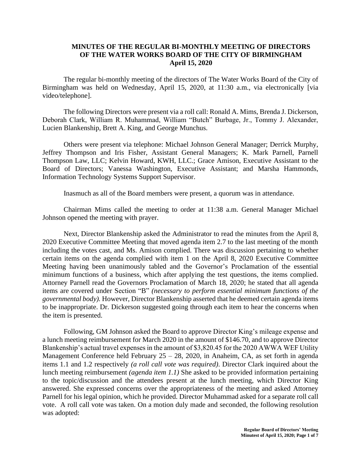## **MINUTES OF THE REGULAR BI-MONTHLY MEETING OF DIRECTORS OF THE WATER WORKS BOARD OF THE CITY OF BIRMINGHAM April 15, 2020**

The regular bi-monthly meeting of the directors of The Water Works Board of the City of Birmingham was held on Wednesday, April 15, 2020, at 11:30 a.m., via electronically [via video/telephone].

The following Directors were present via a roll call: Ronald A. Mims, Brenda J. Dickerson, Deborah Clark, William R. Muhammad, William "Butch" Burbage, Jr., Tommy J. Alexander, Lucien Blankenship, Brett A. King, and George Munchus.

Others were present via telephone: Michael Johnson General Manager; Derrick Murphy, Jeffrey Thompson and Iris Fisher, Assistant General Managers; K. Mark Parnell, Parnell Thompson Law, LLC; Kelvin Howard, KWH, LLC.; Grace Amison, Executive Assistant to the Board of Directors; Vanessa Washington, Executive Assistant; and Marsha Hammonds, Information Technology Systems Support Supervisor.

Inasmuch as all of the Board members were present, a quorum was in attendance.

Chairman Mims called the meeting to order at 11:38 a.m. General Manager Michael Johnson opened the meeting with prayer.

Next, Director Blankenship asked the Administrator to read the minutes from the April 8, 2020 Executive Committee Meeting that moved agenda item 2.7 to the last meeting of the month including the votes cast, and Ms. Amison complied. There was discussion pertaining to whether certain items on the agenda complied with item 1 on the April 8, 2020 Executive Committee Meeting having been unanimously tabled and the Governor's Proclamation of the essential minimum functions of a business, which after applying the test questions, the items complied. Attorney Parnell read the Governors Proclamation of March 18, 2020; he stated that all agenda items are covered under Section "B" *(necessary to perform essential minimum functions of the governmental body).* However, Director Blankenship asserted that he deemed certain agenda items to be inappropriate. Dr. Dickerson suggested going through each item to hear the concerns when the item is presented.

Following, GM Johnson asked the Board to approve Director King's mileage expense and a lunch meeting reimbursement for March 2020 in the amount of \$146.70, and to approve Director Blankenship's actual travel expenses in the amount of \$3,820.45 for the 2020 AWWA WEF Utility Management Conference held February 25 – 28, 2020, in Anaheim, CA, as set forth in agenda items 1.1 and 1.2 respectively *(a roll call vote was required)*. Director Clark inquired about the lunch meeting reimbursement *(agenda item 1.1)* She asked to be provided information pertaining to the topic/discussion and the attendees present at the lunch meeting, which Director King answered. She expressed concerns over the appropriateness of the meeting and asked Attorney Parnell for his legal opinion, which he provided. Director Muhammad asked for a separate roll call vote. A roll call vote was taken. On a motion duly made and seconded, the following resolution was adopted: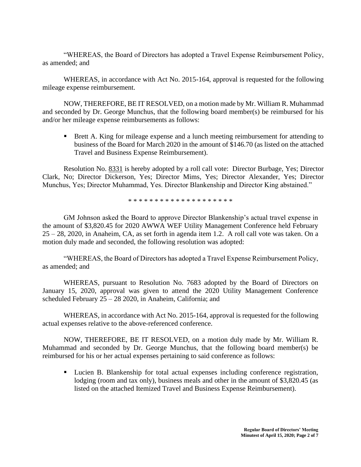"WHEREAS, the Board of Directors has adopted a Travel Expense Reimbursement Policy, as amended; and

WHEREAS, in accordance with Act No. 2015-164, approval is requested for the following mileage expense reimbursement.

NOW, THEREFORE, BE IT RESOLVED, on a motion made by Mr. William R. Muhammad and seconded by Dr. George Munchus, that the following board member(s) be reimbursed for his and/or her mileage expense reimbursements as follows:

■ Brett A. King for mileage expense and a lunch meeting reimbursement for attending to business of the Board for March 2020 in the amount of \$146.70 (as listed on the attached Travel and Business Expense Reimbursement).

Resolution No. 8331 is hereby adopted by a roll call vote: Director Burbage, Yes; Director Clark, No; Director Dickerson, Yes; Director Mims, Yes; Director Alexander, Yes; Director Munchus, Yes; Director Muhammad, Yes. Director Blankenship and Director King abstained."

\* \* \* \* \* \* \* \* \* \* \* \* \* \* \* \* \* \* \* \*

GM Johnson asked the Board to approve Director Blankenship's actual travel expense in the amount of \$3,820.45 for 2020 AWWA WEF Utility Management Conference held February 25 – 28, 2020, in Anaheim, CA, as set forth in agenda item 1.2. A roll call vote was taken. On a motion duly made and seconded, the following resolution was adopted:

"WHEREAS, the Board of Directors has adopted a Travel Expense Reimbursement Policy, as amended; and

WHEREAS, pursuant to Resolution No. 7683 adopted by the Board of Directors on January 15, 2020, approval was given to attend the 2020 Utility Management Conference scheduled February 25 – 28 2020, in Anaheim, California; and

WHEREAS, in accordance with Act No. 2015-164, approval is requested for the following actual expenses relative to the above-referenced conference.

NOW, THEREFORE, BE IT RESOLVED, on a motion duly made by Mr. William R. Muhammad and seconded by Dr. George Munchus, that the following board member(s) be reimbursed for his or her actual expenses pertaining to said conference as follows:

▪ Lucien B. Blankenship for total actual expenses including conference registration, lodging (room and tax only), business meals and other in the amount of \$3,820.45 (as listed on the attached Itemized Travel and Business Expense Reimbursement).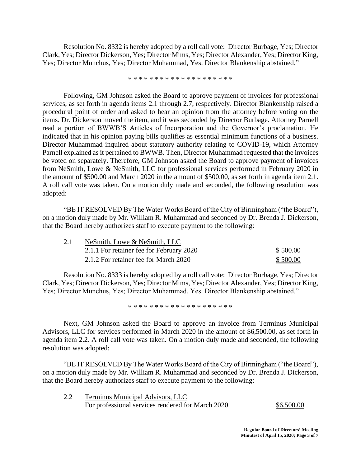Resolution No. 8332 is hereby adopted by a roll call vote: Director Burbage, Yes; Director Clark, Yes; Director Dickerson, Yes; Director Mims, Yes; Director Alexander, Yes; Director King, Yes; Director Munchus, Yes; Director Muhammad, Yes. Director Blankenship abstained."

\* \* \* \* \* \* \* \* \* \* \* \* \* \* \* \* \* \* \* \*

Following, GM Johnson asked the Board to approve payment of invoices for professional services, as set forth in agenda items 2.1 through 2.7, respectively. Director Blankenship raised a procedural point of order and asked to hear an opinion from the attorney before voting on the items. Dr. Dickerson moved the item, and it was seconded by Director Burbage. Attorney Parnell read a portion of BWWB'S Articles of Incorporation and the Governor's proclamation. He indicated that in his opinion paying bills qualifies as essential minimum functions of a business. Director Muhammad inquired about statutory authority relating to COVID-19, which Attorney Parnell explained as it pertained to BWWB. Then, Director Muhammad requested that the invoices be voted on separately. Therefore, GM Johnson asked the Board to approve payment of invoices from NeSmith, Lowe & NeSmith, LLC for professional services performed in February 2020 in the amount of \$500.00 and March 2020 in the amount of \$500.00, as set forth in agenda item 2.1. A roll call vote was taken. On a motion duly made and seconded, the following resolution was adopted:

"BE IT RESOLVED By The Water Works Board of the City of Birmingham ("the Board"), on a motion duly made by Mr. William R. Muhammad and seconded by Dr. Brenda J. Dickerson, that the Board hereby authorizes staff to execute payment to the following:

| 2.1 | NeSmith, Lowe & NeSmith, LLC             |          |  |
|-----|------------------------------------------|----------|--|
|     | 2.1.1 For retainer fee for February 2020 | \$500.00 |  |
|     | 2.1.2 For retainer fee for March 2020    | \$500.00 |  |

Resolution No. 8333 is hereby adopted by a roll call vote: Director Burbage, Yes; Director Clark, Yes; Director Dickerson, Yes; Director Mims, Yes; Director Alexander, Yes; Director King, Yes; Director Munchus, Yes; Director Muhammad, Yes. Director Blankenship abstained."

\* \* \* \* \* \* \* \* \* \* \* \* \* \* \* \* \* \* \* \*

Next, GM Johnson asked the Board to approve an invoice from Terminus Municipal Advisors, LLC for services performed in March 2020 in the amount of \$6,500.00, as set forth in agenda item 2.2. A roll call vote was taken. On a motion duly made and seconded, the following resolution was adopted:

"BE IT RESOLVED By The Water Works Board of the City of Birmingham ("the Board"), on a motion duly made by Mr. William R. Muhammad and seconded by Dr. Brenda J. Dickerson, that the Board hereby authorizes staff to execute payment to the following:

2.2 Terminus Municipal Advisors, LLC For professional services rendered for March 2020 \$6,500.00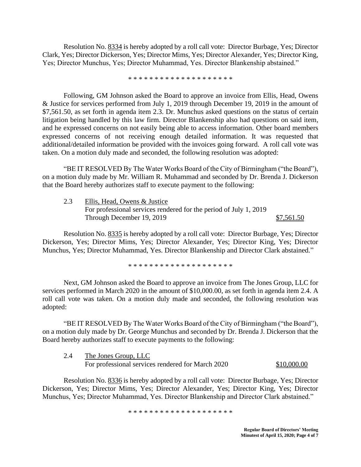Resolution No. 8334 is hereby adopted by a roll call vote: Director Burbage, Yes; Director Clark, Yes; Director Dickerson, Yes; Director Mims, Yes; Director Alexander, Yes; Director King, Yes; Director Munchus, Yes; Director Muhammad, Yes. Director Blankenship abstained."

\* \* \* \* \* \* \* \* \* \* \* \* \* \* \* \* \* \* \* \*

Following, GM Johnson asked the Board to approve an invoice from Ellis, Head, Owens & Justice for services performed from July 1, 2019 through December 19, 2019 in the amount of \$7,561.50, as set forth in agenda item 2.3. Dr. Munchus asked questions on the status of certain litigation being handled by this law firm. Director Blankenship also had questions on said item, and he expressed concerns on not easily being able to access information. Other board members expressed concerns of not receiving enough detailed information. It was requested that additional/detailed information be provided with the invoices going forward. A roll call vote was taken. On a motion duly made and seconded, the following resolution was adopted:

"BE IT RESOLVED By The Water Works Board of the City of Birmingham ("the Board"), on a motion duly made by Mr. William R. Muhammad and seconded by Dr. Brenda J. Dickerson that the Board hereby authorizes staff to execute payment to the following:

2.3 Ellis, Head, Owens & Justice For professional services rendered for the period of July 1, 2019 Through December 19, 2019 \$7,561.50

Resolution No. 8335 is hereby adopted by a roll call vote: Director Burbage, Yes; Director Dickerson, Yes; Director Mims, Yes; Director Alexander, Yes; Director King, Yes; Director Munchus, Yes; Director Muhammad, Yes. Director Blankenship and Director Clark abstained."

\* \* \* \* \* \* \* \* \* \* \* \* \* \* \* \* \* \* \* \*

Next, GM Johnson asked the Board to approve an invoice from The Jones Group, LLC for services performed in March 2020 in the amount of \$10,000.00, as set forth in agenda item 2.4. A roll call vote was taken. On a motion duly made and seconded, the following resolution was adopted:

"BE IT RESOLVED By The Water Works Board of the City of Birmingham ("the Board"), on a motion duly made by Dr. George Munchus and seconded by Dr. Brenda J. Dickerson that the Board hereby authorizes staff to execute payments to the following:

2.4 The Jones Group, LLC For professional services rendered for March 2020 \$10,000.00

Resolution No. 8336 is hereby adopted by a roll call vote: Director Burbage, Yes; Director Dickerson, Yes; Director Mims, Yes; Director Alexander, Yes; Director King, Yes; Director Munchus, Yes; Director Muhammad, Yes. Director Blankenship and Director Clark abstained."

\* \* \* \* \* \* \* \* \* \* \* \* \* \* \* \* \* \* \* \*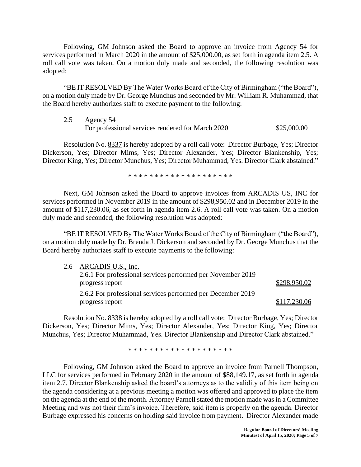Following, GM Johnson asked the Board to approve an invoice from Agency 54 for services performed in March 2020 in the amount of \$25,000.00, as set forth in agenda item 2.5. A roll call vote was taken. On a motion duly made and seconded, the following resolution was adopted:

"BE IT RESOLVED By The Water Works Board of the City of Birmingham ("the Board"), on a motion duly made by Dr. George Munchus and seconded by Mr. William R. Muhammad, that the Board hereby authorizes staff to execute payment to the following:

| 2.5 | Agency 54                                         |             |
|-----|---------------------------------------------------|-------------|
|     | For professional services rendered for March 2020 | \$25,000.00 |

Resolution No. 8337 is hereby adopted by a roll call vote: Director Burbage, Yes; Director Dickerson, Yes; Director Mims, Yes; Director Alexander, Yes; Director Blankenship, Yes; Director King, Yes; Director Munchus, Yes; Director Muhammad, Yes. Director Clark abstained."

\* \* \* \* \* \* \* \* \* \* \* \* \* \* \* \* \* \* \* \*

Next, GM Johnson asked the Board to approve invoices from ARCADIS US, INC for services performed in November 2019 in the amount of \$298,950.02 and in December 2019 in the amount of \$117,230.06, as set forth in agenda item 2.6. A roll call vote was taken. On a motion duly made and seconded, the following resolution was adopted:

"BE IT RESOLVED By The Water Works Board of the City of Birmingham ("the Board"), on a motion duly made by Dr. Brenda J. Dickerson and seconded by Dr. George Munchus that the Board hereby authorizes staff to execute payments to the following:

| 2.6 ARCADIS U.S., Inc.                                      |              |
|-------------------------------------------------------------|--------------|
| 2.6.1 For professional services performed per November 2019 |              |
| progress report                                             | \$298,950.02 |
| 2.6.2 For professional services performed per December 2019 |              |
| progress report                                             | \$117,230.06 |

Resolution No. 8338 is hereby adopted by a roll call vote: Director Burbage, Yes; Director Dickerson, Yes; Director Mims, Yes; Director Alexander, Yes; Director King, Yes; Director Munchus, Yes; Director Muhammad, Yes. Director Blankenship and Director Clark abstained."

\* \* \* \* \* \* \* \* \* \* \* \* \* \* \* \* \* \* \* \*

Following, GM Johnson asked the Board to approve an invoice from Parnell Thompson, LLC for services performed in February 2020 in the amount of \$88,149.17, as set forth in agenda item 2.7. Director Blankenship asked the board's attorneys as to the validity of this item being on the agenda considering at a previous meeting a motion was offered and approved to place the item on the agenda at the end of the month. Attorney Parnell stated the motion made was in a Committee Meeting and was not their firm's invoice. Therefore, said item is properly on the agenda. Director Burbage expressed his concerns on holding said invoice from payment. Director Alexander made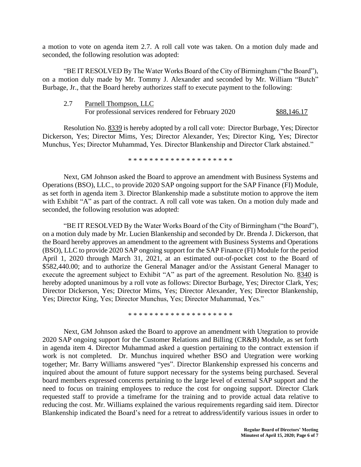a motion to vote on agenda item 2.7. A roll call vote was taken. On a motion duly made and seconded, the following resolution was adopted:

"BE IT RESOLVED By The Water Works Board of the City of Birmingham ("the Board"), on a motion duly made by Mr. Tommy J. Alexander and seconded by Mr. William "Butch" Burbage, Jr., that the Board hereby authorizes staff to execute payment to the following:

| 2.7 | Parnell Thompson, LLC                                |             |
|-----|------------------------------------------------------|-------------|
|     | For professional services rendered for February 2020 | \$88,146.17 |

Resolution No. 8339 is hereby adopted by a roll call vote: Director Burbage, Yes; Director Dickerson, Yes; Director Mims, Yes; Director Alexander, Yes; Director King, Yes; Director Munchus, Yes; Director Muhammad, Yes. Director Blankenship and Director Clark abstained."

\* \* \* \* \* \* \* \* \* \* \* \* \* \* \* \* \* \* \* \*

Next, GM Johnson asked the Board to approve an amendment with Business Systems and Operations (BSO), LLC., to provide 2020 SAP ongoing support for the SAP Finance (FI) Module, as set forth in agenda item 3. Director Blankenship made a substitute motion to approve the item with Exhibit "A" as part of the contract. A roll call vote was taken. On a motion duly made and seconded, the following resolution was adopted:

"BE IT RESOLVED By the Water Works Board of the City of Birmingham ("the Board"), on a motion duly made by Mr. Lucien Blankenship and seconded by Dr. Brenda J. Dickerson, that the Board hereby approves an amendment to the agreement with Business Systems and Operations (BSO), LLC to provide 2020 SAP ongoing support for the SAP Finance (FI) Module for the period April 1, 2020 through March 31, 2021, at an estimated out-of-pocket cost to the Board of \$582,440.00; and to authorize the General Manager and/or the Assistant General Manager to execute the agreement subject to Exhibit "A" as part of the agreement. Resolution No. 8340 is hereby adopted unanimous by a roll vote as follows: Director Burbage, Yes; Director Clark, Yes; Director Dickerson, Yes; Director Mims, Yes; Director Alexander, Yes; Director Blankenship, Yes; Director King, Yes; Director Munchus, Yes; Director Muhammad, Yes."

\* \* \* \* \* \* \* \* \* \* \* \* \* \* \* \* \* \* \* \*

Next, GM Johnson asked the Board to approve an amendment with Utegration to provide 2020 SAP ongoing support for the Customer Relations and Billing (CR&B) Module, as set forth in agenda item 4. Director Muhammad asked a question pertaining to the contract extension if work is not completed. Dr. Munchus inquired whether BSO and Utegration were working together; Mr. Barry Williams answered "yes". Director Blankenship expressed his concerns and inquired about the amount of future support necessary for the systems being purchased. Several board members expressed concerns pertaining to the large level of external SAP support and the need to focus on training employees to reduce the cost for ongoing support. Director Clark requested staff to provide a timeframe for the training and to provide actual data relative to reducing the cost. Mr. Williams explained the various requirements regarding said item. Director Blankenship indicated the Board's need for a retreat to address/identify various issues in order to